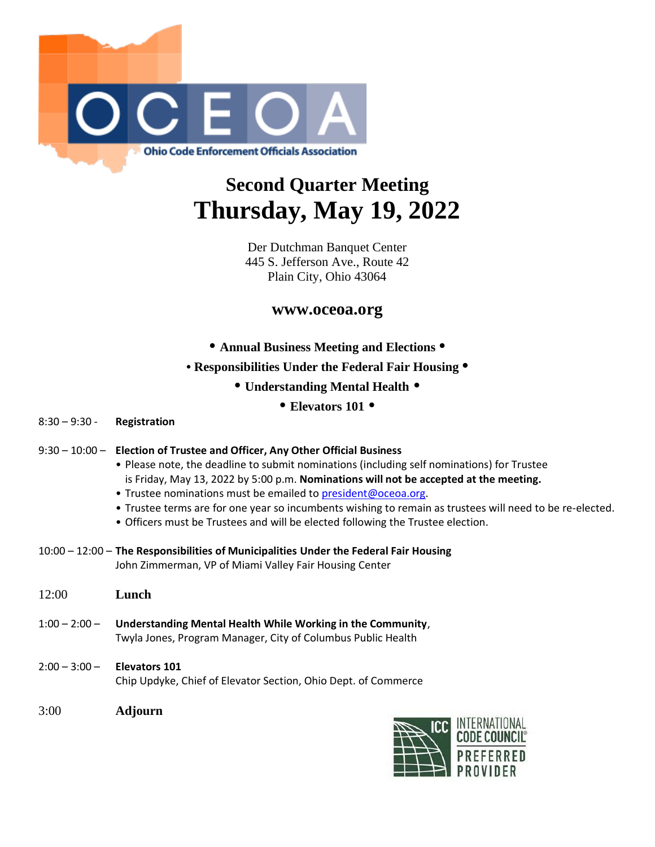

## **Second Quarter Meeting Thursday, May 19, 2022**

Der Dutchman Banquet Center 445 S. Jefferson Ave., Route 42 Plain City, Ohio 43064

## **www.oceoa.org**

**• Annual Business Meeting and Elections •**

- **Responsibilities Under the Federal Fair Housing •**
	- **Understanding Mental Health •**
		- **Elevators 101 •**

8:30 – 9:30 - **Registration**

|  |  | 9:30 – 10:00 – Election of Trustee and Officer, Any Other Official Business |
|--|--|-----------------------------------------------------------------------------|
|--|--|-----------------------------------------------------------------------------|

- Please note, the deadline to submit nominations (including self nominations) for Trustee is Friday, May 13, 2022 by 5:00 p.m. **Nominations will not be accepted at the meeting.**
- Trustee nominations must be emailed to [president@oceoa.org.](mailto:president@oceoa.org)
- Trustee terms are for one year so incumbents wishing to remain as trustees will need to be re-elected.
- Officers must be Trustees and will be elected following the Trustee election.
- 10:00 12:00 **The Responsibilities of Municipalities Under the Federal Fair Housing** John Zimmerman, VP of Miami Valley Fair Housing Center
- 12:00 **Lunch**
- 1:00 2:00 **Understanding Mental Health While Working in the Community**, Twyla Jones, Program Manager, City of Columbus Public Health
- 2:00 3:00 **Elevators 101** Chip Updyke, Chief of Elevator Section, Ohio Dept. of Commerce
- 3:00 **Adjourn**